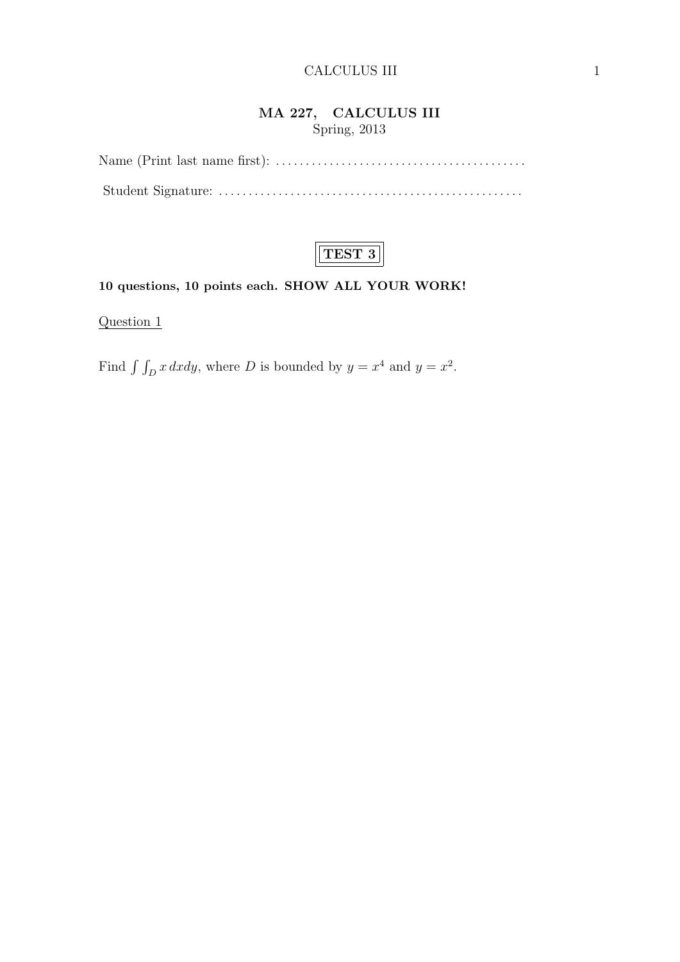## MA 227, CALCULUS III Spring, 2013



#### 10 questions, 10 points each. SHOW ALL YOUR WORK!

Question 1

Find  $\int \int_D x \, dxdy$ , where D is bounded by  $y = x^4$  and  $y = x^2$ .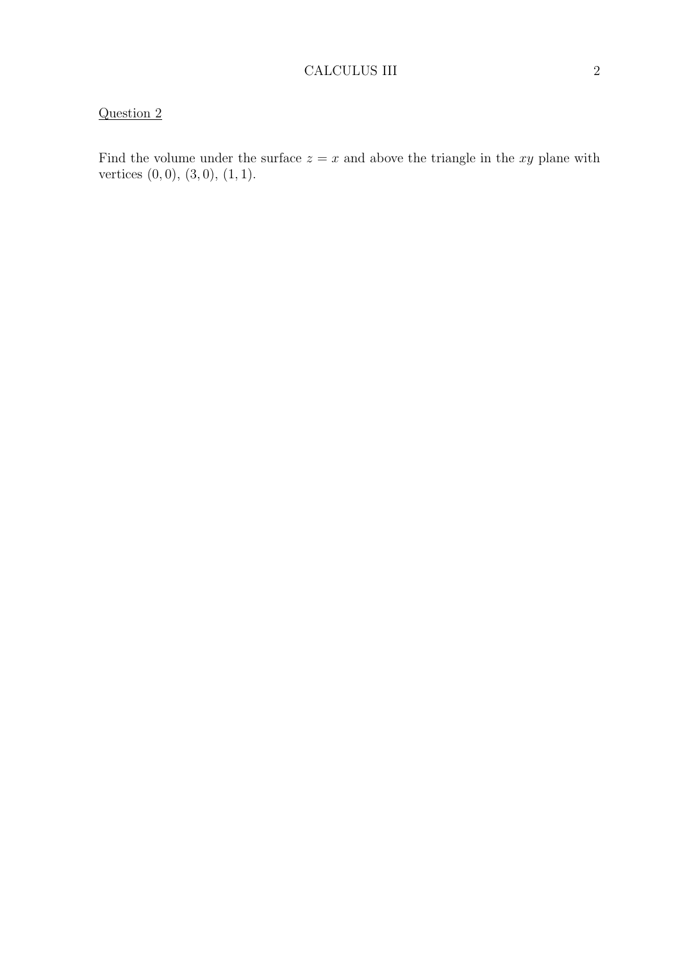Find the volume under the surface  $z = x$  and above the triangle in the xy plane with vertices  $(0, 0), (3, 0), (1, 1).$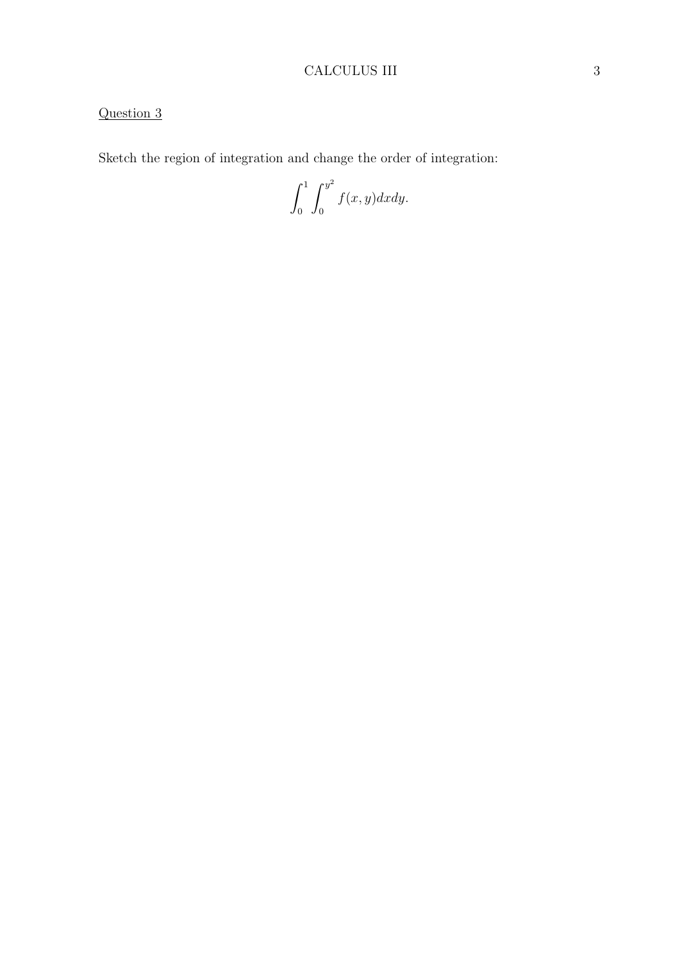## CALCULUS III 3

# Question 3

Sketch the region of integration and change the order of integration:

 $\int_0^1$ 0  $\int y^2$  $\mathbf{0}$  $f(x, y)dxdy.$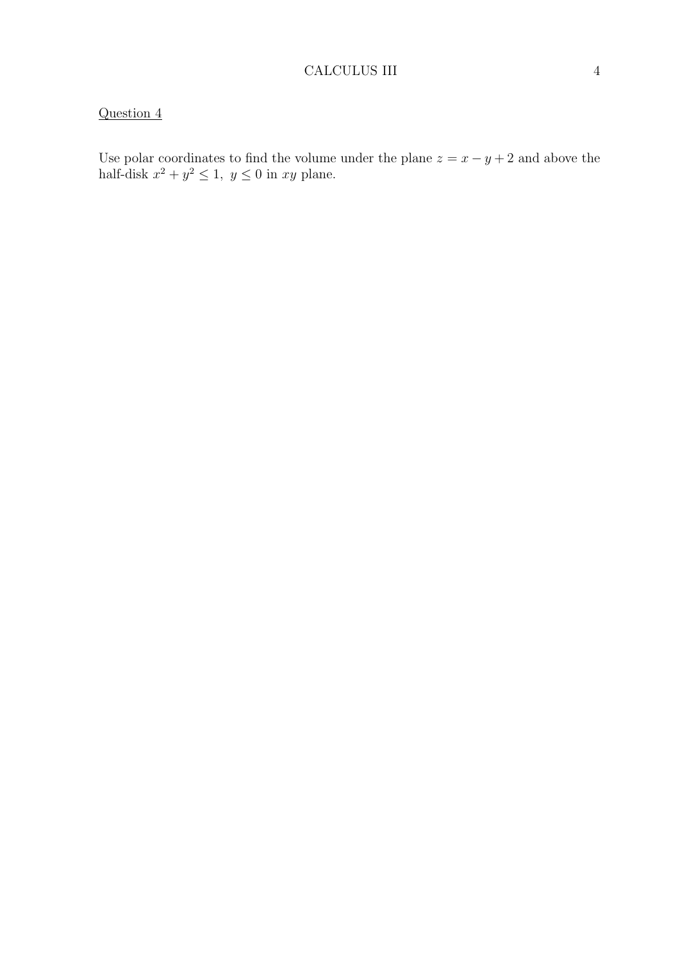Use polar coordinates to find the volume under the plane  $z = x - y + 2$  and above the half-disk  $x^2 + y^2 \leq 1$ ,  $y \leq 0$  in  $xy$  plane.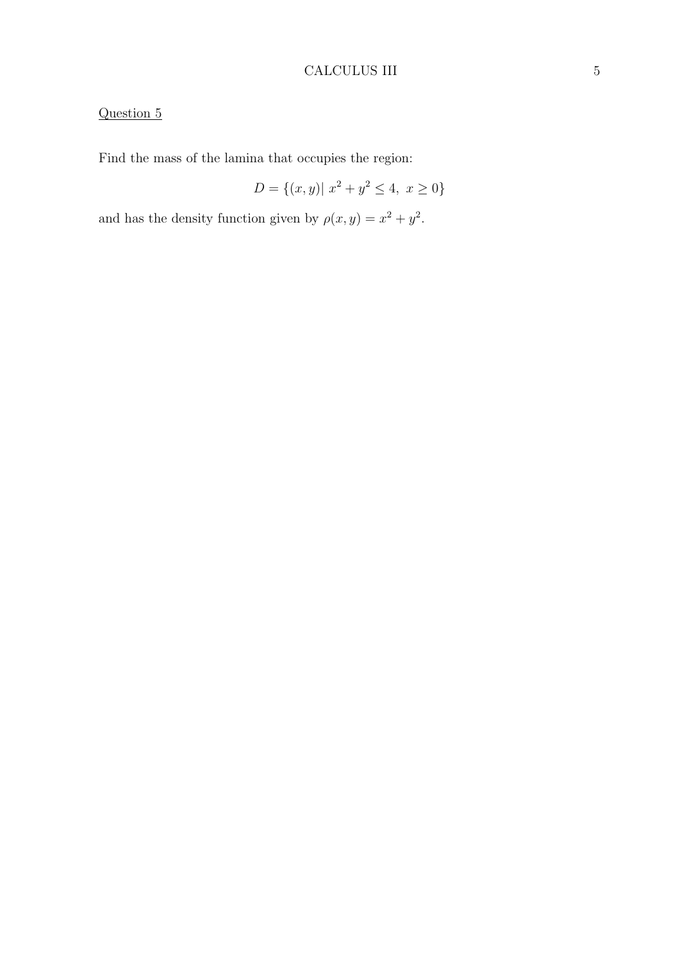## CALCULUS III 5

# Question 5

Find the mass of the lamina that occupies the region:

$$
D = \{(x, y) | x^2 + y^2 \le 4, x \ge 0\}
$$

and has the density function given by  $\rho(x, y) = x^2 + y^2$ .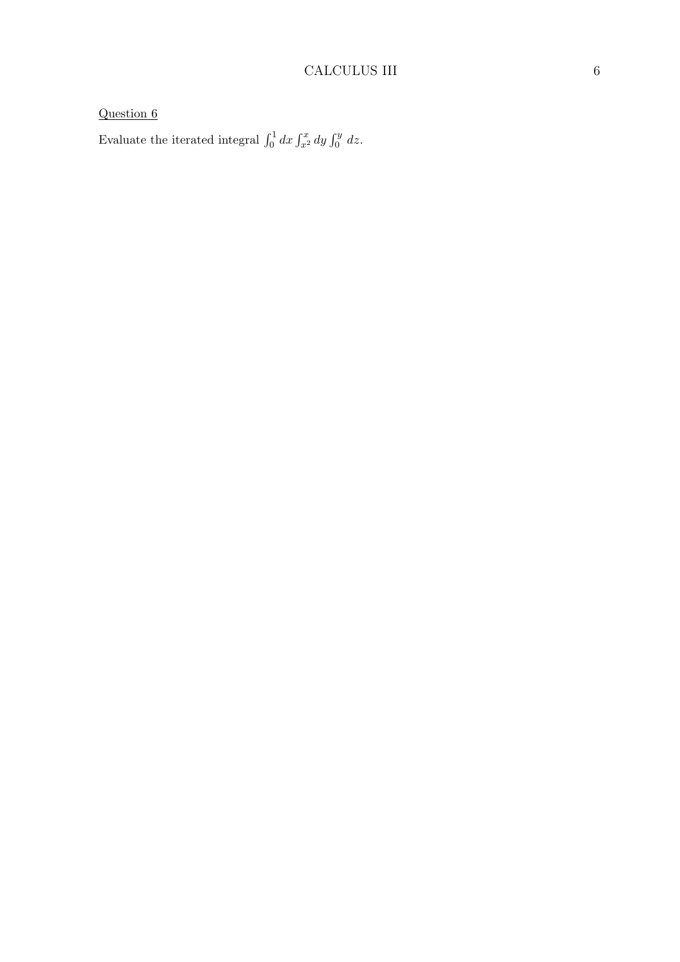Evaluate the iterated integral  $\int_0^1 dx \int_{x^2}^x dy \int_0^y dz$ .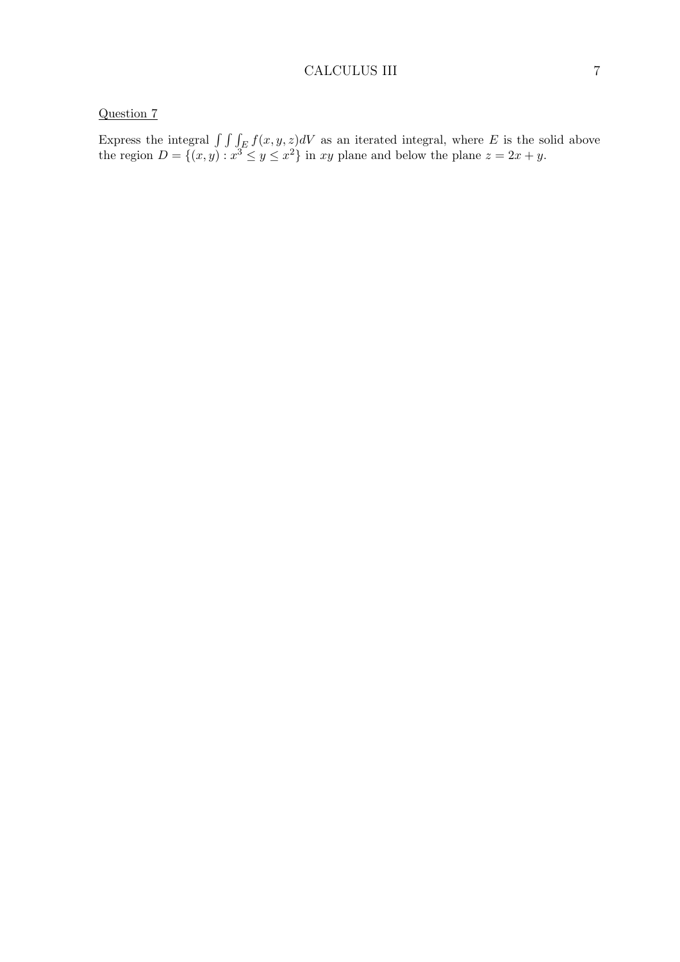Express the integral  $\int \int \int_E f(x, y, z) dV$  as an iterated integral, where E is the solid above the region  $D = \{(x, y) : x^3 \le y \le x^2\}$  in xy plane and below the plane  $z = 2x + y$ .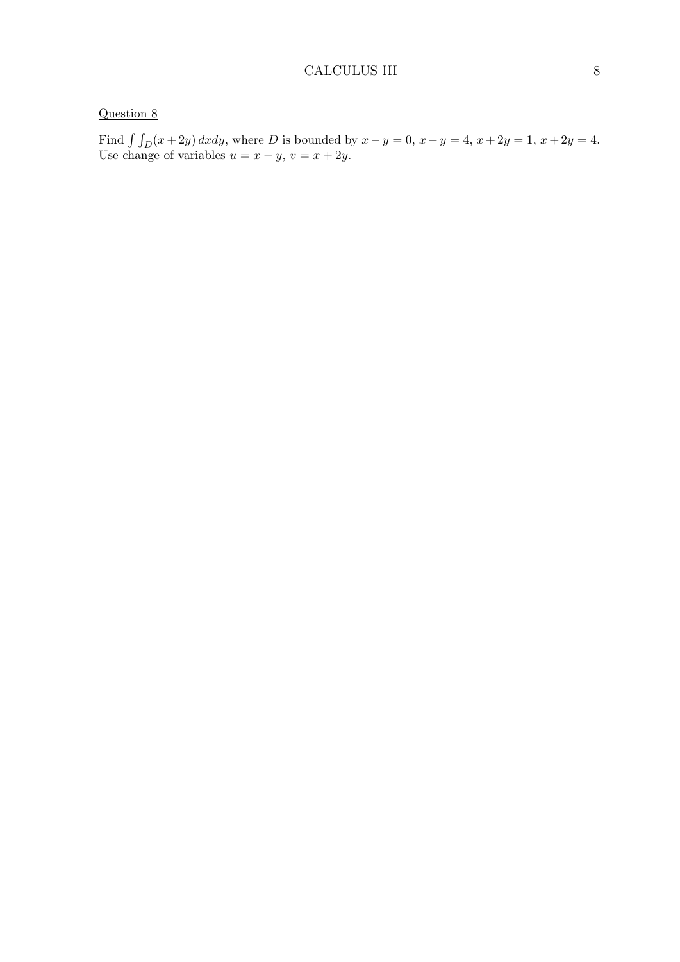Find  $\int \int_D (x + 2y) dx dy$ , where D is bounded by  $x - y = 0$ ,  $x - y = 4$ ,  $x + 2y = 1$ ,  $x + 2y = 4$ . Use change of variables  $u = x - y$ ,  $v = x + 2y$ .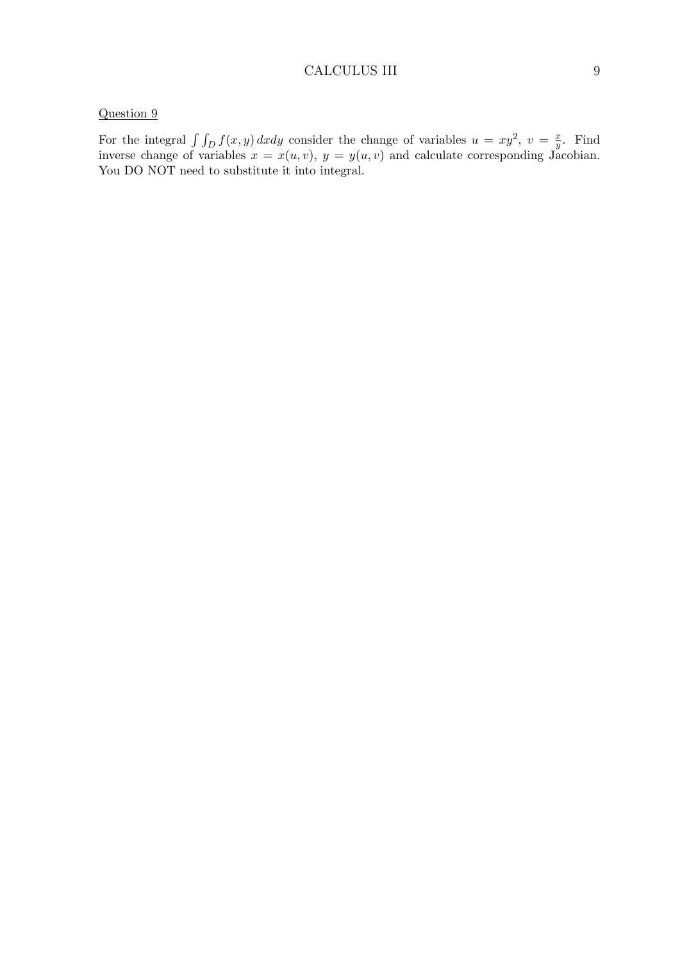#### CALCULUS III 9

### Question 9

For the integral  $\int \int_D f(x, y) dx dy$  consider the change of variables  $u = xy^2$ ,  $v = \frac{x}{y}$  $\frac{x}{y}$ . Find inverse change of variables  $x = x(u, v)$ ,  $y = y(u, v)$  and calculate corresponding Jacobian. You DO NOT need to substitute it into integral.